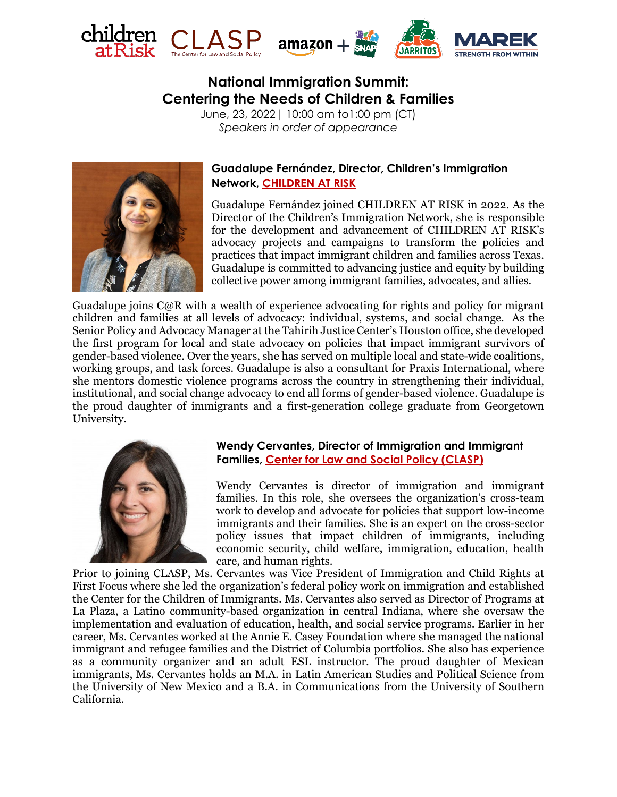





# **National Immigration Summit: Centering the Needs of Children & Families**

June, 23, 2022| 10:00 am to1:00 pm (CT) *Speakers in order of appearance*



# **Guadalupe Fernández, Director, Children's Immigration Network, [CHILDREN AT RISK](https://childrenatrisk.org/)**

Guadalupe Fernández joined CHILDREN AT RISK in 2022. As the Director of the Children's Immigration Network, she is responsible for the development and advancement of CHILDREN AT RISK's advocacy projects and campaigns to transform the policies and practices that impact immigrant children and families across Texas. Guadalupe is committed to advancing justice and equity by building collective power among immigrant families, advocates, and allies.

Guadalupe joins C@R with a wealth of experience advocating for rights and policy for migrant children and families at all levels of advocacy: individual, systems, and social change. As the Senior Policy and Advocacy Manager at the Tahirih Justice Center's Houston office, she developed the first program for local and state advocacy on policies that impact immigrant survivors of gender-based violence. Over the years, she has served on multiple local and state-wide coalitions, working groups, and task forces. Guadalupe is also a consultant for Praxis International, where she mentors domestic violence programs across the country in strengthening their individual, institutional, and social change advocacy to end all forms of gender-based violence. Guadalupe is the proud daughter of immigrants and a first-generation college graduate from Georgetown University.



### **Wendy Cervantes, Director of Immigration and Immigrant Families, [Center for Law and Social Policy \(CLASP\)](https://www.clasp.org/)**

Wendy Cervantes is director of immigration and immigrant families. In this role, she oversees the organization's cross-team work to develop and advocate for policies that support low-income immigrants and their families. She is an expert on the cross-sector policy issues that impact children of immigrants, including economic security, child welfare, immigration, education, health care, and human rights.

Prior to joining CLASP, Ms. Cervantes was Vice President of Immigration and Child Rights at First Focus where she led the organization's federal policy work on immigration and established the Center for the Children of Immigrants. Ms. Cervantes also served as Director of Programs at La Plaza, a Latino community-based organization in central Indiana, where she oversaw the implementation and evaluation of education, health, and social service programs. Earlier in her career, Ms. Cervantes worked at the Annie E. Casey Foundation where she managed the national immigrant and refugee families and the District of Columbia portfolios. She also has experience as a community organizer and an adult ESL instructor. The proud daughter of Mexican immigrants, Ms. Cervantes holds an M.A. in Latin American Studies and Political Science from the University of New Mexico and a B.A. in Communications from the University of Southern California.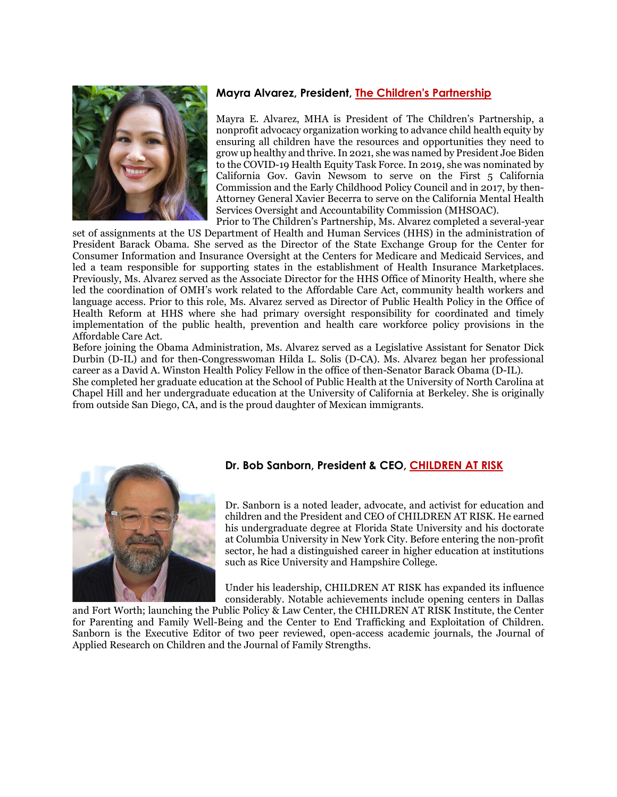# **Mayra Alvarez, President, [The Children's Partnership](https://childrenspartnership.org/)**

Mayra E. Alvarez, MHA is President of The Children's Partnership, a nonprofit advocacy organization working to advance child health equity by ensuring all children have the resources and opportunities they need to grow up healthy and thrive. In 2021, she was named by President Joe Biden to the COVID-19 Health Equity Task Force. In 2019, she was nominated by California Gov. Gavin Newsom to serve on the First 5 California Commission and the Early Childhood Policy Council and in 2017, by then-Attorney General Xavier Becerra to serve on the California Mental Health Services Oversight and Accountability Commission (MHSOAC).

Prior to The Children's Partnership, Ms. Alvarez completed a several-year set of assignments at the US Department of Health and Human Services (HHS) in the administration of President Barack Obama. She served as the Director of the State Exchange Group for the Center for Consumer Information and Insurance Oversight at the Centers for Medicare and Medicaid Services, and led a team responsible for supporting states in the establishment of Health Insurance Marketplaces. Previously, Ms. Alvarez served as the Associate Director for the HHS Office of Minority Health, where she led the coordination of OMH's work related to the Affordable Care Act, community health workers and language access. Prior to this role, Ms. Alvarez served as Director of Public Health Policy in the Office of Health Reform at HHS where she had primary oversight responsibility for coordinated and timely implementation of the public health, prevention and health care workforce policy provisions in the Affordable Care Act.

Before joining the Obama Administration, Ms. Alvarez served as a Legislative Assistant for Senator Dick Durbin (D-IL) and for then-Congresswoman Hilda L. Solis (D-CA). Ms. Alvarez began her professional career as a David A. Winston Health Policy Fellow in the office of then-Senator Barack Obama (D-IL).

She completed her graduate education at the School of Public Health at the University of North Carolina at Chapel Hill and her undergraduate education at the University of California at Berkeley. She is originally from outside San Diego, CA, and is the proud daughter of Mexican immigrants.



# **Dr. Bob Sanborn, President & CEO, [CHILDREN AT RISK](https://childrenatrisk.org/)**

Dr. Sanborn is a noted leader, advocate, and activist for education and children and the President and CEO of CHILDREN AT RISK. He earned his undergraduate degree at Florida State University and his doctorate at Columbia University in New York City. Before entering the non-profit sector, he had a distinguished career in higher education at institutions such as Rice University and Hampshire College.

Under his leadership, CHILDREN AT RISK has expanded its influence considerably. Notable achievements include opening centers in Dallas

and Fort Worth; launching the Public Policy & Law Center, the CHILDREN AT RISK Institute, the Center for Parenting and Family Well-Being and the Center to End Trafficking and Exploitation of Children. Sanborn is the Executive Editor of two peer reviewed, open-access academic journals, the Journal of Applied Research on Children and the Journal of Family Strengths.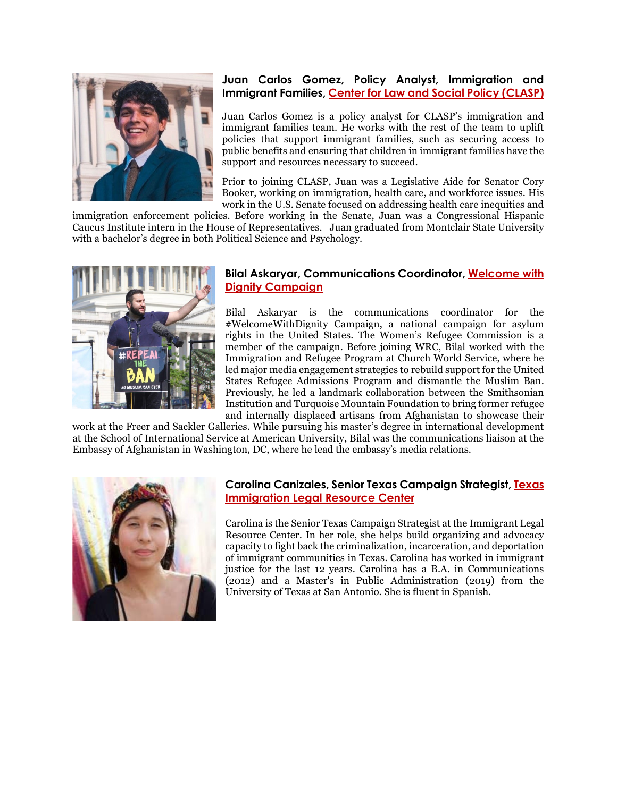

### **Juan Carlos Gomez, Policy Analyst, Immigration and Immigrant Families, [Center for Law and Social Policy \(CLASP\)](https://www.clasp.org/)**

Juan Carlos Gomez is a policy analyst for CLASP's immigration and immigrant families team. He works with the rest of the team to uplift policies that support immigrant families, such as securing access to public benefits and ensuring that children in immigrant families have the support and resources necessary to succeed.

Prior to joining CLASP, Juan was a Legislative Aide for Senator Cory Booker, working on immigration, health care, and workforce issues. His work in the U.S. Senate focused on addressing health care inequities and

immigration enforcement policies. Before working in the Senate, Juan was a Congressional Hispanic Caucus Institute intern in the House of Representatives. Juan graduated from Montclair State University with a bachelor's degree in both Political Science and Psychology.



# **Bilal Askaryar, Communications Coordinator, [Welcome with](https://welcomewithdignity.org/)  [Dignity Campaign](https://welcomewithdignity.org/)**

Bilal Askaryar is the communications coordinator for the #WelcomeWithDignity Campaign, a national campaign for asylum rights in the United States. The Women's Refugee Commission is a member of the campaign. Before joining WRC, Bilal worked with the Immigration and Refugee Program at Church World Service, where he led major media engagement strategies to rebuild support for the United States Refugee Admissions Program and dismantle the Muslim Ban. Previously, he led a landmark collaboration between the Smithsonian Institution and Turquoise Mountain Foundation to bring former refugee and internally displaced artisans from Afghanistan to showcase their

work at the Freer and Sackler Galleries. While pursuing his master's degree in international development at the School of International Service at American University, Bilal was the communications liaison at the Embassy of Afghanistan in Washington, DC, where he lead the embassy's media relations.



### **Carolina Canizales, Senior Texas Campaign Strategist, [Texas](https://www.ilrc.org/)  [Immigration Legal Resource Center](https://www.ilrc.org/)**

Carolina is the Senior Texas Campaign Strategist at the Immigrant Legal Resource Center. In her role, she helps build organizing and advocacy capacity to fight back the criminalization, incarceration, and deportation of immigrant communities in Texas. Carolina has worked in immigrant justice for the last 12 years. Carolina has a B.A. in Communications (2012) and a Master's in Public Administration (2019) from the University of Texas at San Antonio. She is fluent in Spanish.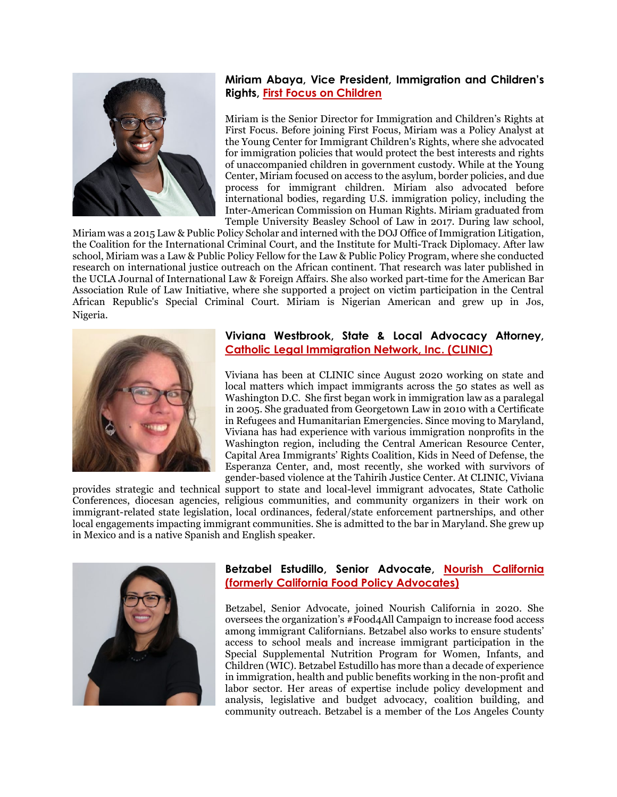

# **Miriam Abaya, Vice President, Immigration and Children's Rights, [First Focus on Children](https://firstfocus.org/)**

Miriam is the Senior Director for Immigration and Children's Rights at First Focus. Before joining First Focus, Miriam was a Policy Analyst at the Young Center for Immigrant Children's Rights, where she advocated for immigration policies that would protect the best interests and rights of unaccompanied children in government custody. While at the Young Center, Miriam focused on access to the asylum, border policies, and due process for immigrant children. Miriam also advocated before international bodies, regarding U.S. immigration policy, including the Inter-American Commission on Human Rights. Miriam graduated from Temple University Beasley School of Law in 2017. During law school,

Miriam was a 2015 Law & Public Policy Scholar and interned with the DOJ Office of Immigration Litigation, the Coalition for the International Criminal Court, and the Institute for Multi-Track Diplomacy. After law school, Miriam was a Law & Public Policy Fellow for the Law & Public Policy Program, where she conducted research on international justice outreach on the African continent. That research was later published in the UCLA Journal of International Law & Foreign Affairs. She also worked part-time for the American Bar Association Rule of Law Initiative, where she supported a project on victim participation in the Central African Republic's Special Criminal Court. Miriam is Nigerian American and grew up in Jos, Nigeria.



### **Viviana Westbrook, State & Local Advocacy Attorney, [Catholic Legal Immigration Network, Inc. \(CLINIC\)](https://cliniclegal.org/)**

Viviana has been at CLINIC since August 2020 working on state and local matters which impact immigrants across the 50 states as well as Washington D.C. She first began work in immigration law as a paralegal in 2005. She graduated from Georgetown Law in 2010 with a Certificate in Refugees and Humanitarian Emergencies. Since moving to Maryland, Viviana has had experience with various immigration nonprofits in the Washington region, including the Central American Resource Center, Capital Area Immigrants' Rights Coalition, Kids in Need of Defense, the Esperanza Center, and, most recently, she worked with survivors of gender-based violence at the Tahirih Justice Center. At CLINIC, Viviana

provides strategic and technical support to state and local-level immigrant advocates, State Catholic Conferences, diocesan agencies, religious communities, and community organizers in their work on immigrant-related state legislation, local ordinances, federal/state enforcement partnerships, and other local engagements impacting immigrant communities. She is admitted to the bar in Maryland. She grew up in Mexico and is a native Spanish and English speaker.



#### **Betzabel Estudillo, Senior Advocate, [Nourish California](https://nourishca.org/#:%7E:text=Nourish%20California%20advocates%20smart%2C%20progressive,justice%20through%20increased%20food%20access.)  [\(formerly California Food Policy Advocates\)](https://nourishca.org/#:%7E:text=Nourish%20California%20advocates%20smart%2C%20progressive,justice%20through%20increased%20food%20access.)**

Betzabel, Senior Advocate, joined Nourish California in 2020. She oversees the organization's #Food4All Campaign to increase food access among immigrant Californians. Betzabel also works to ensure students' access to school meals and increase immigrant participation in the Special Supplemental Nutrition Program for Women, Infants, and Children (WIC). Betzabel Estudillo has more than a decade of experience in immigration, health and public benefits working in the non-profit and labor sector. Her areas of expertise include policy development and analysis, legislative and budget advocacy, coalition building, and community outreach. Betzabel is a member of the Los Angeles County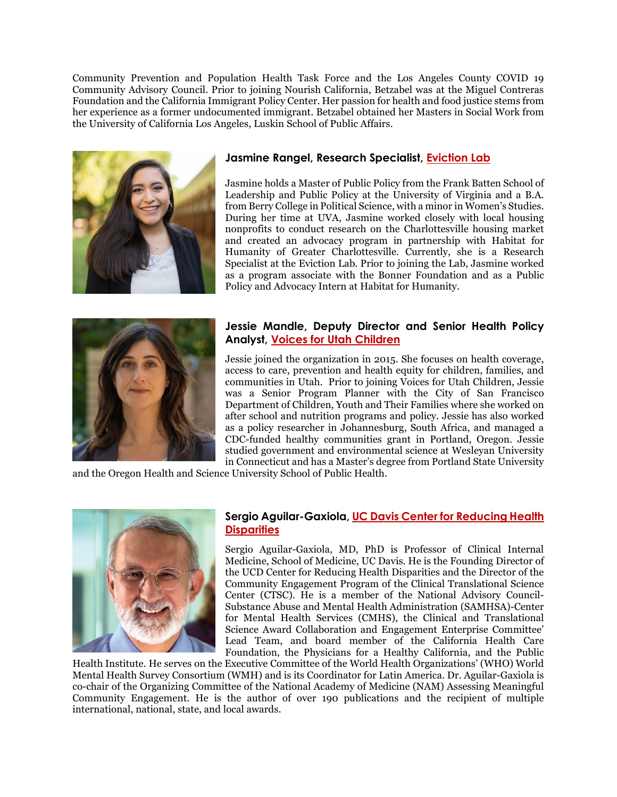Community Prevention and Population Health Task Force and the Los Angeles County COVID 19 Community Advisory Council. Prior to joining Nourish California, Betzabel was at the Miguel Contreras Foundation and the California Immigrant Policy Center. Her passion for health and food justice stems from her experience as a former undocumented immigrant. Betzabel obtained her Masters in Social Work from the University of California Los Angeles, Luskin School of Public Affairs.



### **Jasmine Rangel, Research Specialist, [Eviction Lab](https://evictionlab.org/)**

Jasmine holds a Master of Public Policy from the Frank Batten School of Leadership and Public Policy at the University of Virginia and a B.A. from Berry College in Political Science, with a minor in Women's Studies. During her time at UVA, Jasmine worked closely with local housing nonprofits to conduct research on the Charlottesville housing market and created an advocacy program in partnership with Habitat for Humanity of Greater Charlottesville. Currently, she is a Research Specialist at the Eviction Lab. Prior to joining the Lab, Jasmine worked as a program associate with the Bonner Foundation and as a Public Policy and Advocacy Intern at Habitat for Humanity.



# **Jessie Mandle, Deputy Director and Senior Health Policy Analyst, [Voices for Utah Children](https://www.utahchildren.org/)**

Jessie joined the organization in 2015. She focuses on health coverage, access to care, prevention and health equity for children, families, and communities in Utah. Prior to joining Voices for Utah Children, Jessie was a Senior Program Planner with the City of San Francisco Department of Children, Youth and Their Families where she worked on after school and nutrition programs and policy. Jessie has also worked as a policy researcher in Johannesburg, South Africa, and managed a CDC-funded healthy communities grant in Portland, Oregon. Jessie studied government and environmental science at Wesleyan University in Connecticut and has a Master's degree from Portland State University

and the Oregon Health and Science University School of Public Health.



#### **Sergio Aguilar-Gaxiola[, UC Davis Center for Reducing Health](https://health.ucdavis.edu/crhd/)  [Disparities](https://health.ucdavis.edu/crhd/)**

Sergio Aguilar-Gaxiola, MD, PhD is Professor of Clinical Internal Medicine, School of Medicine, UC Davis. He is the Founding Director of the UCD Center for Reducing Health Disparities and the Director of the Community Engagement Program of the Clinical Translational Science Center (CTSC). He is a member of the National Advisory Council-Substance Abuse and Mental Health Administration (SAMHSA)-Center for Mental Health Services (CMHS), the Clinical and Translational Science Award Collaboration and Engagement Enterprise Committee' Lead Team, and board member of the California Health Care Foundation, the Physicians for a Healthy California, and the Public

Health Institute. He serves on the Executive Committee of the World Health Organizations' (WHO) World Mental Health Survey Consortium (WMH) and is its Coordinator for Latin America. Dr. Aguilar-Gaxiola is co-chair of the Organizing Committee of the National Academy of Medicine (NAM) Assessing Meaningful Community Engagement. He is the author of over 190 publications and the recipient of multiple international, national, state, and local awards.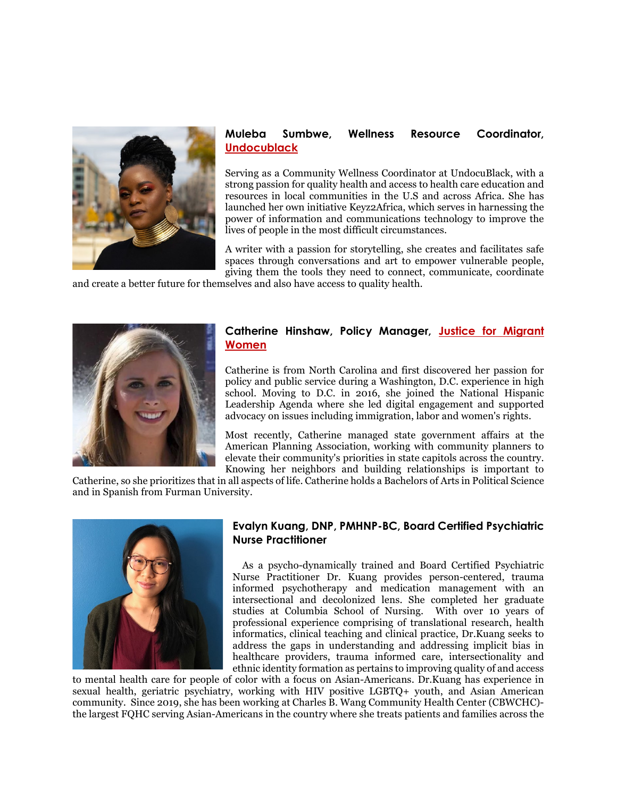

# **Muleba Sumbwe, Wellness Resource Coordinator, [Undocublack](https://undocublack.org/)**

Serving as a Community Wellness Coordinator at UndocuBlack, with a strong passion for quality health and access to health care education and resources in local communities in the U.S and across Africa. She has launched her own initiative Keyz2Africa, which serves in harnessing the power of information and communications technology to improve the lives of people in the most difficult circumstances.

A writer with a passion for storytelling, she creates and facilitates safe spaces through conversations and art to empower vulnerable people, giving them the tools they need to connect, communicate, coordinate

and create a better future for themselves and also have access to quality health.



### **Catherine Hinshaw, Policy Manager, [Justice for Migrant](https://justice4women.org/)  [Women](https://justice4women.org/)**

Catherine is from North Carolina and first discovered her passion for policy and public service during a Washington, D.C. experience in high school. Moving to D.C. in 2016, she joined the National Hispanic Leadership Agenda where she led digital engagement and supported advocacy on issues including immigration, labor and women's rights.

Most recently, Catherine managed state government affairs at the American Planning Association, working with community planners to elevate their community's priorities in state capitols across the country. Knowing her neighbors and building relationships is important to

Catherine, so she prioritizes that in all aspects of life. Catherine holds a Bachelors of Arts in Political Science and in Spanish from Furman University.



### **Evalyn Kuang, DNP, PMHNP-BC, Board Certified Psychiatric Nurse Practitioner**

 As a psycho-dynamically trained and Board Certified Psychiatric Nurse Practitioner Dr. Kuang provides person-centered, trauma informed psychotherapy and medication management with an intersectional and decolonized lens. She completed her graduate studies at Columbia School of Nursing. With over 10 years of professional experience comprising of translational research, health informatics, clinical teaching and clinical practice, Dr.Kuang seeks to address the gaps in understanding and addressing implicit bias in healthcare providers, trauma informed care, intersectionality and ethnic identity formation as pertains to improving quality of and access

to mental health care for people of color with a focus on Asian-Americans. Dr.Kuang has experience in sexual health, geriatric psychiatry, working with HIV positive LGBTQ+ youth, and Asian American community. Since 2019, she has been working at Charles B. Wang Community Health Center (CBWCHC) the largest FQHC serving Asian-Americans in the country where she treats patients and families across the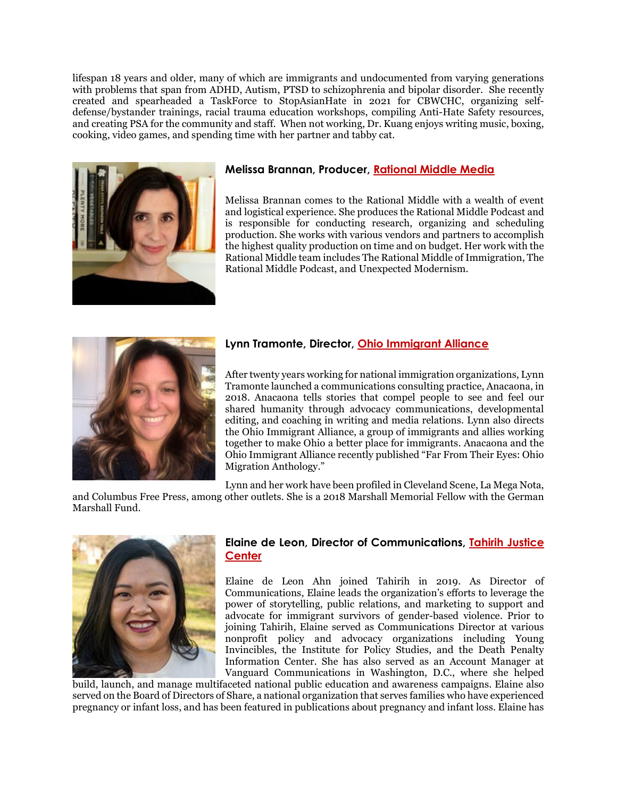lifespan 18 years and older, many of which are immigrants and undocumented from varying generations with problems that span from ADHD, Autism, PTSD to schizophrenia and bipolar disorder. She recently created and spearheaded a TaskForce to StopAsianHate in 2021 for CBWCHC, organizing selfdefense/bystander trainings, racial trauma education workshops, compiling Anti-Hate Safety resources, and creating PSA for the community and staff. When not working, Dr. Kuang enjoys writing music, boxing, cooking, video games, and spending time with her partner and tabby cat.



# **Melissa Brannan, Producer, [Rational Middle Media](https://rationalmiddle.com/)**

Melissa Brannan comes to the Rational Middle with a wealth of event and logistical experience. She produces the Rational Middle Podcast and is responsible for conducting research, organizing and scheduling production. She works with various vendors and partners to accomplish the highest quality production on time and on budget. Her work with the Rational Middle team includes The Rational Middle of Immigration, The Rational Middle Podcast, and Unexpected Modernism.



# **Lynn Tramonte, Director, [Ohio Immigrant Alliance](https://ohioimmigrant.org/)**

After twenty years working for national immigration organizations, Lynn Tramonte launched a communications consulting practice, Anacaona, in 2018. Anacaona tells stories that compel people to see and feel our shared humanity through advocacy communications, developmental editing, and coaching in writing and media relations. Lynn also directs the Ohio Immigrant Alliance, a group of immigrants and allies working together to make Ohio a better place for immigrants. Anacaona and the Ohio Immigrant Alliance recently published "Far From Their Eyes: Ohio Migration Anthology."

Lynn and her work have been profiled in [Cleveland Scene,](https://www.clevescene.com/cleveland/lynn-tramonte/Content?oid=31315089) La Mega Nota,

and [Columbus Free Press,](https://columbusfreepress.com/article/first-ever-ohio-migration-anthology-set-release-edited-ohio%E2%80%99s-immigration-warrior-lynn) among other outlets. She is a 2018 Marshall Memorial Fellow with the German Marshall Fund.



#### **Elaine de Leon, Director of Communications, [Tahirih Justice](https://www.tahirih.org/)  [Center](https://www.tahirih.org/)**

Elaine de Leon Ahn joined Tahirih in 2019. As Director of Communications, Elaine leads the organization's efforts to leverage the power of storytelling, public relations, and marketing to support and advocate for immigrant survivors of gender-based violence. Prior to joining Tahirih, Elaine served as Communications Director at various nonprofit policy and advocacy organizations including Young Invincibles, the Institute for Policy Studies, and the Death Penalty Information Center. She has also served as an Account Manager at Vanguard Communications in Washington, D.C., where she helped

build, launch, and manage multifaceted national public education and awareness campaigns. Elaine also served on the Board of Directors of Share, a national organization that serves families who have experienced pregnancy or infant loss, and has been featured in publications about pregnancy and infant loss. Elaine has